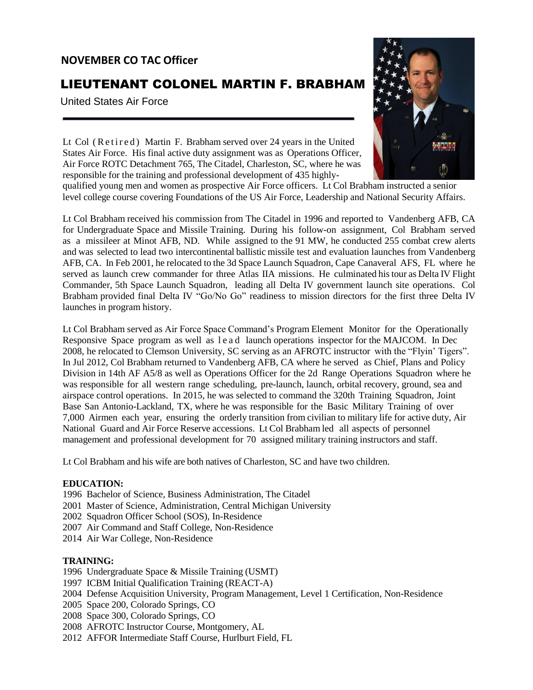## **NOVEMBER CO TAC Officer**

# LIEUTENANT COLONEL MARTIN F. BRABHAM

United States Air Force



Lt Col (Retired) Martin F. Brabham served over 24 years in the United States Air Force. His final active duty assignment was as Operations Officer, Air Force ROTC Detachment 765, The Citadel, Charleston, SC, where he was responsible for the training and professional development of 435 highly-

qualified young men and women as prospective Air Force officers. Lt Col Brabham instructed a senior level college course covering Foundations of the US Air Force, Leadership and National Security Affairs.

Lt Col Brabham received his commission from The Citadel in 1996 and reported to Vandenberg AFB, CA for Undergraduate Space and Missile Training. During his follow-on assignment, Col Brabham served as a missileer at Minot AFB, ND. While assigned to the 91 MW, he conducted 255 combat crew alerts and was selected to lead two intercontinental ballistic missile test and evaluation launches from Vandenberg AFB, CA. In Feb 2001, he relocated to the 3d Space Launch Squadron, Cape Canaveral AFS, FL where he served as launch crew commander for three Atlas IIA missions. He culminated histour as Delta IV Flight Commander, 5th Space Launch Squadron, leading all Delta IV government launch site operations. Col Brabham provided final Delta IV "Go/No Go" readiness to mission directors for the first three Delta IV launches in program history.

Lt Col Brabham served as Air Force Space Command's Program Element Monitor for the Operationally Responsive Space program as well as lead launch operations inspector for the MAJCOM. In Dec 2008, he relocated to Clemson University, SC serving as an AFROTC instructor with the "Flyin' Tigers". In Jul 2012, Col Brabham returned to Vandenberg AFB, CA where he served as Chief, Plans and Policy Division in 14th AF A5/8 as well as Operations Officer for the 2d Range Operations Squadron where he was responsible for all western range scheduling, pre-launch, launch, orbital recovery, ground, sea and airspace control operations. In 2015, he was selected to command the 320th Training Squadron, Joint Base San Antonio-Lackland, TX, where he was responsible for the Basic Military Training of over 7,000 Airmen each year, ensuring the orderly transition from civilian to military life for active duty, Air National Guard and Air Force Reserve accessions. Lt Col Brabham led all aspects of personnel management and professional development for 70 assigned military training instructors and staff.

Lt Col Brabham and his wife are both natives of Charleston, SC and have two children.

#### **EDUCATION:**

- 1996 Bachelor of Science, Business Administration, The Citadel
- 2001 Master of Science, Administration, Central Michigan University
- 2002 Squadron Officer School (SOS), In-Residence
- 2007 Air Command and Staff College, Non-Residence
- 2014 Air War College, Non-Residence

#### **TRAINING:**

- 1996 Undergraduate Space & Missile Training (USMT)
- 1997 ICBM Initial Qualification Training (REACT-A)
- 2004 Defense Acquisition University, Program Management, Level 1 Certification, Non-Residence
- 2005 Space 200, Colorado Springs, CO
- 2008 Space 300, Colorado Springs, CO
- 2008 AFROTC Instructor Course, Montgomery, AL
- 2012 AFFOR Intermediate Staff Course, Hurlburt Field, FL